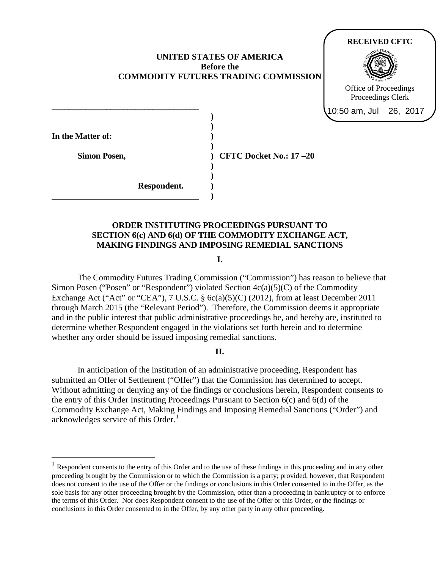# **UNITED STATES OF AMERICA Before the COMMODITY FUTURES TRADING COMMISSION**

**) )** 

**) ) ) ) ) ) )** 



**In the Matter of:** 

 $\overline{a}$ 

**Simon Posen,** 

**\_\_\_\_\_\_\_\_\_\_\_\_\_\_\_\_\_\_\_\_\_\_\_\_\_\_\_\_\_\_\_\_\_\_\_**

**\_\_\_\_\_\_\_\_\_\_\_\_\_\_\_\_\_\_\_\_\_\_\_\_\_\_\_\_\_\_\_\_\_\_\_**

 **Respondent.**

**CFTC Docket No.: 17 –20** 

# **ORDER INSTITUTING PROCEEDINGS PURSUANT TO SECTION 6(c) AND 6(d) OF THE COMMODITY EXCHANGE ACT, MAKING FINDINGS AND IMPOSING REMEDIAL SANCTIONS**

**I.**

The Commodity Futures Trading Commission ("Commission") has reason to believe that Simon Posen ("Posen" or "Respondent") violated Section 4c(a)(5)(C) of the Commodity Exchange Act ("Act" or "CEA"), 7 U.S.C.  $\S$  6c(a)(5)(C) (2012), from at least December 2011 through March 2015 (the "Relevant Period"). Therefore, the Commission deems it appropriate and in the public interest that public administrative proceedings be, and hereby are, instituted to determine whether Respondent engaged in the violations set forth herein and to determine whether any order should be issued imposing remedial sanctions.

# **II.**

In anticipation of the institution of an administrative proceeding, Respondent has submitted an Offer of Settlement ("Offer") that the Commission has determined to accept. Without admitting or denying any of the findings or conclusions herein, Respondent consents to the entry of this Order Instituting Proceedings Pursuant to Section 6(c) and 6(d) of the Commodity Exchange Act, Making Findings and Imposing Remedial Sanctions ("Order") and acknowledges service of this Order. $<sup>1</sup>$  $<sup>1</sup>$  $<sup>1</sup>$ </sup>

<span id="page-0-0"></span> $1$  Respondent consents to the entry of this Order and to the use of these findings in this proceeding and in any other proceeding brought by the Commission or to which the Commission is a party; provided, however, that Respondent does not consent to the use of the Offer or the findings or conclusions in this Order consented to in the Offer, as the sole basis for any other proceeding brought by the Commission, other than a proceeding in bankruptcy or to enforce the terms of this Order. Nor does Respondent consent to the use of the Offer or this Order, or the findings or conclusions in this Order consented to in the Offer, by any other party in any other proceeding.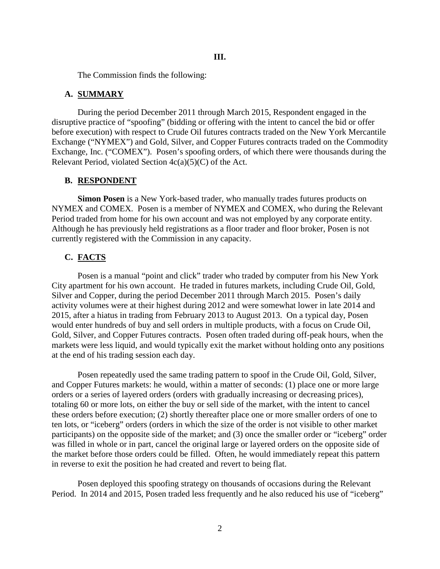The Commission finds the following:

### **A. SUMMARY**

During the period December 2011 through March 2015, Respondent engaged in the disruptive practice of "spoofing" (bidding or offering with the intent to cancel the bid or offer before execution) with respect to Crude Oil futures contracts traded on the New York Mercantile Exchange ("NYMEX") and Gold, Silver, and Copper Futures contracts traded on the Commodity Exchange, Inc. ("COMEX"). Posen's spoofing orders, of which there were thousands during the Relevant Period, violated Section  $4c(a)(5)(C)$  of the Act.

#### **B. RESPONDENT**

**Simon Posen** is a New York-based trader, who manually trades futures products on NYMEX and COMEX. Posen is a member of NYMEX and COMEX, who during the Relevant Period traded from home for his own account and was not employed by any corporate entity. Although he has previously held registrations as a floor trader and floor broker, Posen is not currently registered with the Commission in any capacity.

## **C. FACTS**

Posen is a manual "point and click" trader who traded by computer from his New York City apartment for his own account. He traded in futures markets, including Crude Oil, Gold, Silver and Copper, during the period December 2011 through March 2015. Posen's daily activity volumes were at their highest during 2012 and were somewhat lower in late 2014 and 2015, after a hiatus in trading from February 2013 to August 2013. On a typical day, Posen would enter hundreds of buy and sell orders in multiple products, with a focus on Crude Oil, Gold, Silver, and Copper Futures contracts. Posen often traded during off-peak hours, when the markets were less liquid, and would typically exit the market without holding onto any positions at the end of his trading session each day.

Posen repeatedly used the same trading pattern to spoof in the Crude Oil, Gold, Silver, and Copper Futures markets: he would, within a matter of seconds: (1) place one or more large orders or a series of layered orders (orders with gradually increasing or decreasing prices), totaling 60 or more lots, on either the buy or sell side of the market, with the intent to cancel these orders before execution; (2) shortly thereafter place one or more smaller orders of one to ten lots, or "iceberg" orders (orders in which the size of the order is not visible to other market participants) on the opposite side of the market; and (3) once the smaller order or "iceberg" order was filled in whole or in part, cancel the original large or layered orders on the opposite side of the market before those orders could be filled. Often, he would immediately repeat this pattern in reverse to exit the position he had created and revert to being flat.

Posen deployed this spoofing strategy on thousands of occasions during the Relevant Period. In 2014 and 2015, Posen traded less frequently and he also reduced his use of "iceberg"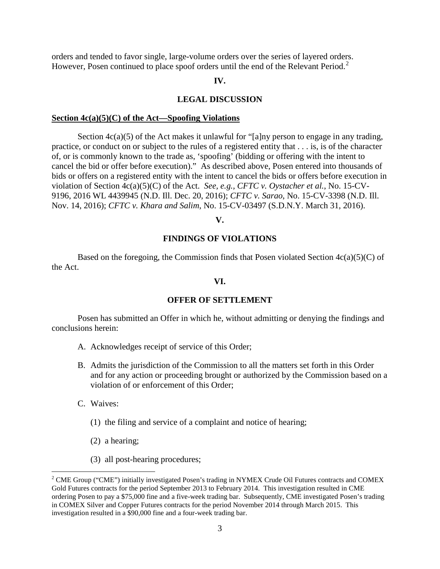orders and tended to favor single, large-volume orders over the series of layered orders. However, Posen continued to place spoof orders until the end of the Relevant Period.<sup>[2](#page-2-0)</sup>

## **IV.**

### **LEGAL DISCUSSION**

#### **Section 4c(a)(5)(C) of the Act—Spoofing Violations**

Section  $4c(a)(5)$  of the Act makes it unlawful for "[a]ny person to engage in any trading, practice, or conduct on or subject to the rules of a registered entity that . . . is, is of the character of, or is commonly known to the trade as, 'spoofing' (bidding or offering with the intent to cancel the bid or offer before execution)." As described above, Posen entered into thousands of bids or offers on a registered entity with the intent to cancel the bids or offers before execution in violation of Section 4c(a)(5)(C) of the Act. *See, e.g., CFTC v. Oystacher et al.*, No. 15-CV-9196, 2016 WL 4439945 (N.D. Ill. Dec. 20, 2016); *CFTC v. Sarao*, No. 15-CV-3398 (N.D. Ill. Nov. 14, 2016); *CFTC v. Khara and Salim*, No. 15-CV-03497 (S.D.N.Y. March 31, 2016).

#### **V.**

## **FINDINGS OF VIOLATIONS**

Based on the foregoing, the Commission finds that Posen violated Section  $4c(a)(5)(C)$  of the Act.

## **VI.**

### **OFFER OF SETTLEMENT**

Posen has submitted an Offer in which he, without admitting or denying the findings and conclusions herein:

- A. Acknowledges receipt of service of this Order;
- B. Admits the jurisdiction of the Commission to all the matters set forth in this Order and for any action or proceeding brought or authorized by the Commission based on a violation of or enforcement of this Order;
- C. Waives:

 $\overline{a}$ 

- (1) the filing and service of a complaint and notice of hearing;
- (2) a hearing;
- (3) all post-hearing procedures;

<span id="page-2-0"></span><sup>&</sup>lt;sup>2</sup> CME Group ("CME") initially investigated Posen's trading in NYMEX Crude Oil Futures contracts and COMEX Gold Futures contracts for the period September 2013 to February 2014. This investigation resulted in CME ordering Posen to pay a \$75,000 fine and a five-week trading bar. Subsequently, CME investigated Posen's trading in COMEX Silver and Copper Futures contracts for the period November 2014 through March 2015. This investigation resulted in a \$90,000 fine and a four-week trading bar.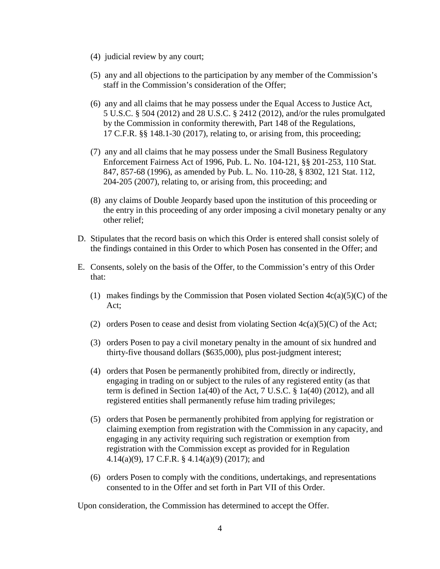- (4) judicial review by any court;
- (5) any and all objections to the participation by any member of the Commission's staff in the Commission's consideration of the Offer;
- (6) any and all claims that he may possess under the Equal Access to Justice Act, 5 U.S.C. § 504 (2012) and 28 U.S.C. § 2412 (2012), and/or the rules promulgated by the Commission in conformity therewith, Part 148 of the Regulations, 17 C.F.R. §§ 148.1*-*30 (2017), relating to, or arising from, this proceeding;
- (7) any and all claims that he may possess under the Small Business Regulatory Enforcement Fairness Act of 1996, Pub. L. No. 104-121, §§ 201-253, 110 Stat. 847, 857-68 (1996), as amended by Pub. L. No. 110-28, § 8302, 121 Stat. 112, 204-205 (2007), relating to, or arising from, this proceeding; and
- (8) any claims of Double Jeopardy based upon the institution of this proceeding or the entry in this proceeding of any order imposing a civil monetary penalty or any other relief;
- D. Stipulates that the record basis on which this Order is entered shall consist solely of the findings contained in this Order to which Posen has consented in the Offer; and
- E. Consents, solely on the basis of the Offer, to the Commission's entry of this Order that:
	- (1) makes findings by the Commission that Posen violated Section  $4c(a)(5)(C)$  of the Act;
	- (2) orders Posen to cease and desist from violating Section  $4c(a)(5)(C)$  of the Act;
	- (3) orders Posen to pay a civil monetary penalty in the amount of six hundred and thirty-five thousand dollars (\$635,000), plus post-judgment interest;
	- (4) orders that Posen be permanently prohibited from, directly or indirectly, engaging in trading on or subject to the rules of any registered entity (as that term is defined in Section 1a(40) of the Act, 7 U.S.C. § 1a(40) (2012), and all registered entities shall permanently refuse him trading privileges;
	- (5) orders that Posen be permanently prohibited from applying for registration or claiming exemption from registration with the Commission in any capacity, and engaging in any activity requiring such registration or exemption from registration with the Commission except as provided for in Regulation 4.14(a)(9), 17 C.F.R. § 4.14(a)(9) (2017); and
	- (6) orders Posen to comply with the conditions, undertakings, and representations consented to in the Offer and set forth in Part VII of this Order.

Upon consideration, the Commission has determined to accept the Offer.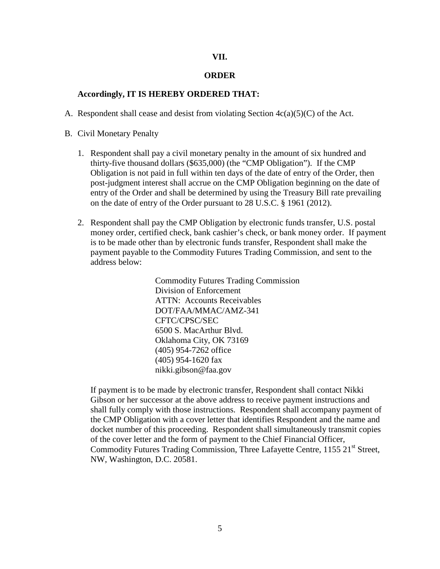## **VII.**

## **ORDER**

# **Accordingly, IT IS HEREBY ORDERED THAT:**

A. Respondent shall cease and desist from violating Section  $4c(a)(5)(C)$  of the Act.

B. Civil Monetary Penalty

- 1. Respondent shall pay a civil monetary penalty in the amount of six hundred and thirty-five thousand dollars (\$635,000) (the "CMP Obligation"). If the CMP Obligation is not paid in full within ten days of the date of entry of the Order, then post-judgment interest shall accrue on the CMP Obligation beginning on the date of entry of the Order and shall be determined by using the Treasury Bill rate prevailing on the date of entry of the Order pursuant to 28 U.S.C. § 1961 (2012).
- 2. Respondent shall pay the CMP Obligation by electronic funds transfer, U.S. postal money order, certified check, bank cashier's check, or bank money order. If payment is to be made other than by electronic funds transfer, Respondent shall make the payment payable to the Commodity Futures Trading Commission, and sent to the address below:

Commodity Futures Trading Commission Division of Enforcement ATTN: Accounts Receivables DOT/FAA/MMAC/AMZ-341 CFTC/CPSC/SEC 6500 S. MacArthur Blvd. Oklahoma City, OK 73169 (405) 954-7262 office (405) 954-1620 fax nikki.gibson@faa.gov

If payment is to be made by electronic transfer, Respondent shall contact Nikki Gibson or her successor at the above address to receive payment instructions and shall fully comply with those instructions. Respondent shall accompany payment of the CMP Obligation with a cover letter that identifies Respondent and the name and docket number of this proceeding. Respondent shall simultaneously transmit copies of the cover letter and the form of payment to the Chief Financial Officer, Commodity Futures Trading Commission, Three Lafayette Centre, 1155 21<sup>st</sup> Street, NW, Washington, D.C. 20581.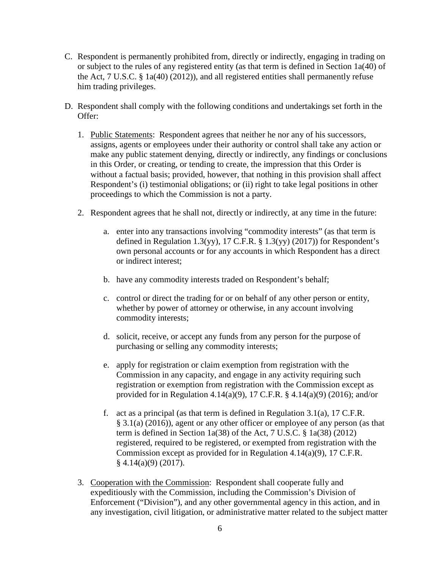- C. Respondent is permanently prohibited from, directly or indirectly, engaging in trading on or subject to the rules of any registered entity (as that term is defined in Section 1a(40) of the Act, 7 U.S.C. § 1a(40) (2012)), and all registered entities shall permanently refuse him trading privileges.
- D. Respondent shall comply with the following conditions and undertakings set forth in the Offer:
	- 1. Public Statements: Respondent agrees that neither he nor any of his successors, assigns, agents or employees under their authority or control shall take any action or make any public statement denying, directly or indirectly, any findings or conclusions in this Order, or creating, or tending to create, the impression that this Order is without a factual basis; provided, however, that nothing in this provision shall affect Respondent's (i) testimonial obligations; or (ii) right to take legal positions in other proceedings to which the Commission is not a party.
	- 2. Respondent agrees that he shall not, directly or indirectly, at any time in the future:
		- a. enter into any transactions involving "commodity interests" (as that term is defined in Regulation 1.3(yy), 17 C.F.R.  $\S$  1.3(yy) (2017)) for Respondent's own personal accounts or for any accounts in which Respondent has a direct or indirect interest;
		- b. have any commodity interests traded on Respondent's behalf;
		- c. control or direct the trading for or on behalf of any other person or entity, whether by power of attorney or otherwise, in any account involving commodity interests;
		- d. solicit, receive, or accept any funds from any person for the purpose of purchasing or selling any commodity interests;
		- e. apply for registration or claim exemption from registration with the Commission in any capacity, and engage in any activity requiring such registration or exemption from registration with the Commission except as provided for in Regulation 4.14(a)(9), 17 C.F.R. § 4.14(a)(9) (2016); and/or
		- f. act as a principal (as that term is defined in Regulation 3.1(a), 17 C.F.R. § 3.1(a) (2016)), agent or any other officer or employee of any person (as that term is defined in Section 1a(38) of the Act, 7 U.S.C. § 1a(38) (2012) registered, required to be registered, or exempted from registration with the Commission except as provided for in Regulation 4.14(a)(9), 17 C.F.R.  $§$  4.14(a)(9) (2017).
	- 3. Cooperation with the Commission: Respondent shall cooperate fully and expeditiously with the Commission, including the Commission's Division of Enforcement ("Division"), and any other governmental agency in this action, and in any investigation, civil litigation, or administrative matter related to the subject matter